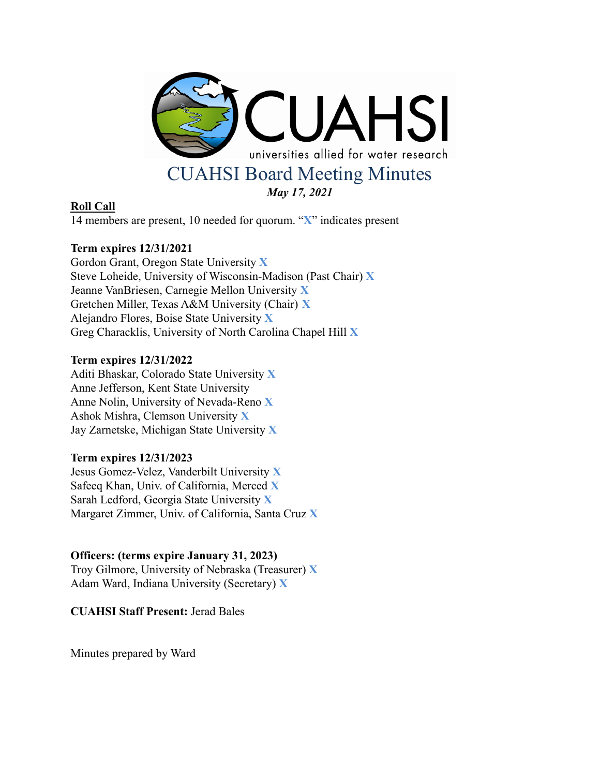

# **Roll Call**

14 members are present, 10 needed for quorum. "**X**" indicates present

# **Term expires 12/31/2021**

Gordon Grant, Oregon State University **X** Steve Loheide, University of Wisconsin-Madison (Past Chair) **X** Jeanne VanBriesen, Carnegie Mellon University **X** Gretchen Miller, Texas A&M University (Chair) **X** Alejandro Flores, Boise State University **X** Greg Characklis, University of North Carolina Chapel Hill **X**

# **Term expires 12/31/2022**

Aditi Bhaskar, Colorado State University **X** Anne Jefferson, Kent State University Anne Nolin, University of Nevada-Reno **X** Ashok Mishra, Clemson University **X** Jay Zarnetske, Michigan State University **X**

# **Term expires 12/31/2023**

Jesus Gomez-Velez, Vanderbilt University **X** Safeeq Khan, Univ. of California, Merced **X** Sarah Ledford, Georgia State University **X** Margaret Zimmer, Univ. of California, Santa Cruz **X**

# **Officers: (terms expire January 31, 2023)**

Troy Gilmore, University of Nebraska (Treasurer) **X** Adam Ward, Indiana University (Secretary) **X**

**CUAHSI Staff Present:** Jerad Bales

Minutes prepared by Ward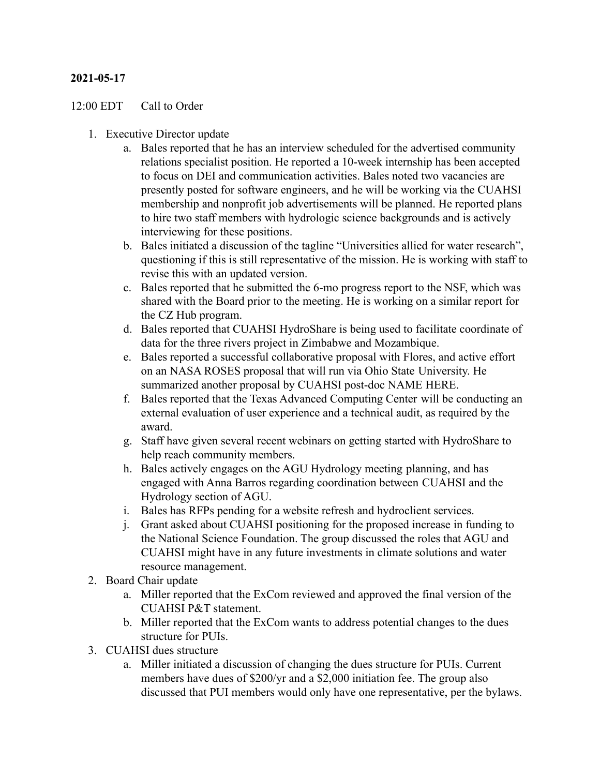# **2021-05-17**

### 12:00 EDT Call to Order

- 1. Executive Director update
	- a. Bales reported that he has an interview scheduled for the advertised community relations specialist position. He reported a 10-week internship has been accepted to focus on DEI and communication activities. Bales noted two vacancies are presently posted for software engineers, and he will be working via the CUAHSI membership and nonprofit job advertisements will be planned. He reported plans to hire two staff members with hydrologic science backgrounds and is actively interviewing for these positions.
	- b. Bales initiated a discussion of the tagline "Universities allied for water research", questioning if this is still representative of the mission. He is working with staff to revise this with an updated version.
	- c. Bales reported that he submitted the 6-mo progress report to the NSF, which was shared with the Board prior to the meeting. He is working on a similar report for the CZ Hub program.
	- d. Bales reported that CUAHSI HydroShare is being used to facilitate coordinate of data for the three rivers project in Zimbabwe and Mozambique.
	- e. Bales reported a successful collaborative proposal with Flores, and active effort on an NASA ROSES proposal that will run via Ohio State University. He summarized another proposal by CUAHSI post-doc NAME HERE.
	- f. Bales reported that the Texas Advanced Computing Center will be conducting an external evaluation of user experience and a technical audit, as required by the award.
	- g. Staff have given several recent webinars on getting started with HydroShare to help reach community members.
	- h. Bales actively engages on the AGU Hydrology meeting planning, and has engaged with Anna Barros regarding coordination between CUAHSI and the Hydrology section of AGU.
	- i. Bales has RFPs pending for a website refresh and hydroclient services.
	- j. Grant asked about CUAHSI positioning for the proposed increase in funding to the National Science Foundation. The group discussed the roles that AGU and CUAHSI might have in any future investments in climate solutions and water resource management.
- 2. Board Chair update
	- a. Miller reported that the ExCom reviewed and approved the final version of the CUAHSI P&T statement.
	- b. Miller reported that the ExCom wants to address potential changes to the dues structure for PUIs.
- 3. CUAHSI dues structure
	- a. Miller initiated a discussion of changing the dues structure for PUIs. Current members have dues of \$200/yr and a \$2,000 initiation fee. The group also discussed that PUI members would only have one representative, per the bylaws.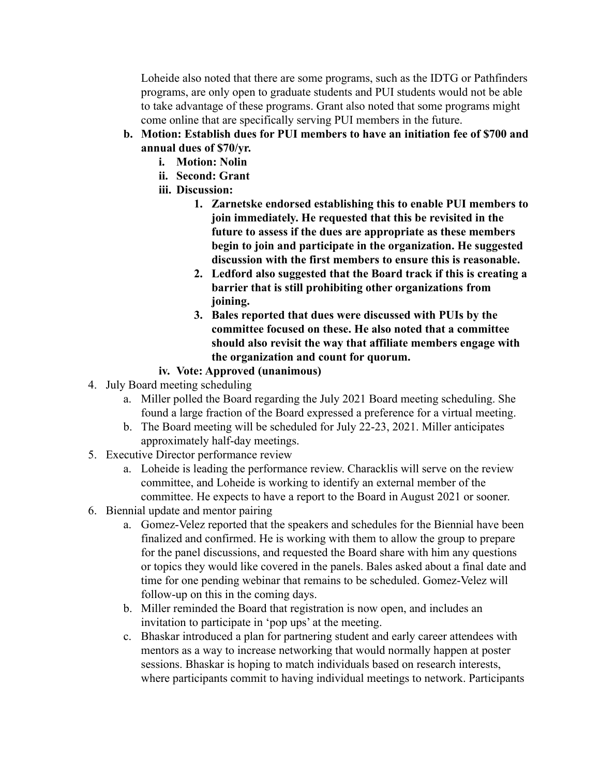Loheide also noted that there are some programs, such as the IDTG or Pathfinders programs, are only open to graduate students and PUI students would not be able to take advantage of these programs. Grant also noted that some programs might come online that are specifically serving PUI members in the future.

- **b. Motion: Establish dues for PUI members to have an initiation fee of \$700 and annual dues of \$70/yr.**
	- **i. Motion: Nolin**
	- **ii. Second: Grant**
	- **iii. Discussion:**
		- **1. Zarnetske endorsed establishing this to enable PUI members to join immediately. He requested that this be revisited in the future to assess if the dues are appropriate as these members begin to join and participate in the organization. He suggested discussion with the first members to ensure this is reasonable.**
		- **2. Ledford also suggested that the Board track if this is creating a barrier that is still prohibiting other organizations from joining.**
		- **3. Bales reported that dues were discussed with PUIs by the committee focused on these. He also noted that a committee should also revisit the way that affiliate members engage with the organization and count for quorum.**
	- **iv. Vote: Approved (unanimous)**
- 4. July Board meeting scheduling
	- a. Miller polled the Board regarding the July 2021 Board meeting scheduling. She found a large fraction of the Board expressed a preference for a virtual meeting.
	- b. The Board meeting will be scheduled for July 22-23, 2021. Miller anticipates approximately half-day meetings.
- 5. Executive Director performance review
	- a. Loheide is leading the performance review. Characklis will serve on the review committee, and Loheide is working to identify an external member of the committee. He expects to have a report to the Board in August 2021 or sooner.
- 6. Biennial update and mentor pairing
	- a. Gomez-Velez reported that the speakers and schedules for the Biennial have been finalized and confirmed. He is working with them to allow the group to prepare for the panel discussions, and requested the Board share with him any questions or topics they would like covered in the panels. Bales asked about a final date and time for one pending webinar that remains to be scheduled. Gomez-Velez will follow-up on this in the coming days.
	- b. Miller reminded the Board that registration is now open, and includes an invitation to participate in 'pop ups' at the meeting.
	- c. Bhaskar introduced a plan for partnering student and early career attendees with mentors as a way to increase networking that would normally happen at poster sessions. Bhaskar is hoping to match individuals based on research interests, where participants commit to having individual meetings to network. Participants